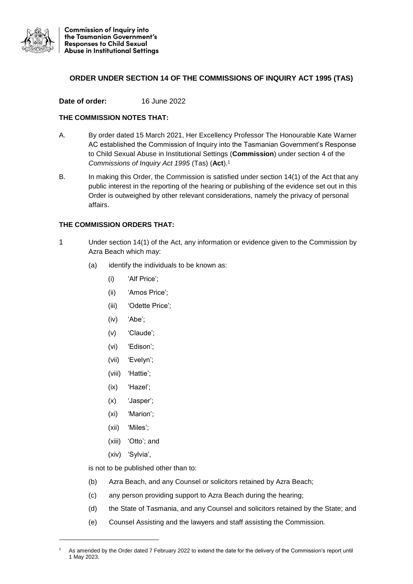

## **ORDER UNDER SECTION 14 OF THE COMMISSIONS OF INQUIRY ACT 1995 (TAS)**

**Date of order:** 16 June 2022

## **THE COMMISSION NOTES THAT:**

- A. By order dated 15 March 2021, Her Excellency Professor The Honourable Kate Warner AC established the Commission of Inquiry into the Tasmanian Government's Response to Child Sexual Abuse in Institutional Settings (**Commission**) under section 4 of the *Commissions of Inquiry Act 1995* (Tas) (**Act**).<sup>1</sup>
- B. In making this Order, the Commission is satisfied under section 14(1) of the Act that any public interest in the reporting of the hearing or publishing of the evidence set out in this Order is outweighed by other relevant considerations, namely the privacy of personal affairs.

## **THE COMMISSION ORDERS THAT:**

- 1 Under section 14(1) of the Act, any information or evidence given to the Commission by Azra Beach which may:
	- (a) identify the individuals to be known as:
		- (i) 'Alf Price';
		- (ii) 'Amos Price';
		- (iii) 'Odette Price';
		- (iv) 'Abe';
		- (v) 'Claude';
		- (vi) 'Edison';
		- (vii) 'Evelyn';
		- (viii) 'Hattie';
		- (ix) 'Hazel';
		- (x) 'Jasper';
		- (xi) 'Marion';
		- (xii) 'Miles';
		- (xiii) 'Otto'; and
		- (xiv) 'Sylvia',

1

is not to be published other than to:

- (b) Azra Beach, and any Counsel or solicitors retained by Azra Beach;
- (c) any person providing support to Azra Beach during the hearing;
- (d) the State of Tasmania, and any Counsel and solicitors retained by the State; and
- (e) Counsel Assisting and the lawyers and staff assisting the Commission.

As amended by the Order dated 7 February 2022 to extend the date for the delivery of the Commission's report until 1 May 2023.